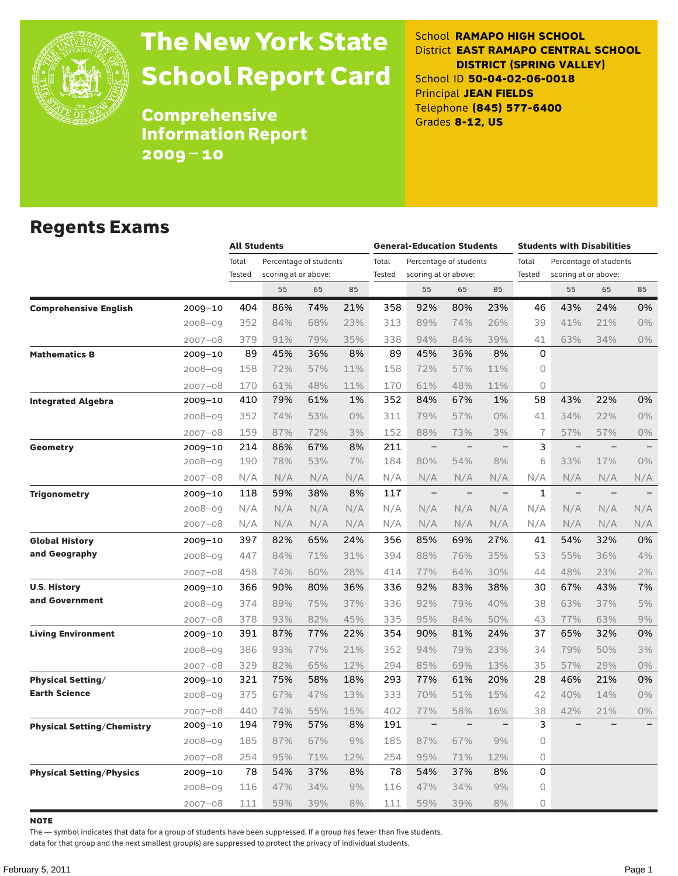

# The New York State School Report Card

School **RAMAPO HIGH SCHOOL** District **EAST RAMAPO CENTRAL SCHOOL DISTRICT (SPRING VALLEY)** School ID **50-04-02-06-0018** Principal **JEAN FIELDS** Telephone **(845) 577-6400** Grades **8-12, US**

Comprehensive Information Report 2009–10

### Regents Exams

|                                   |             |                 | <b>All Students</b>                            |     |       |                 | <b>General-Education Students</b> |                          |                          |                 | <b>Students with Disabilities</b>              |                          |       |  |
|-----------------------------------|-------------|-----------------|------------------------------------------------|-----|-------|-----------------|-----------------------------------|--------------------------|--------------------------|-----------------|------------------------------------------------|--------------------------|-------|--|
|                                   |             | Total<br>Tested | Percentage of students<br>scoring at or above: |     |       | Total<br>Tested | scoring at or above:              | Percentage of students   |                          | Total<br>Tested | Percentage of students<br>scoring at or above: |                          |       |  |
|                                   |             |                 | 55                                             | 65  | 85    |                 | 55                                | 65                       | 85                       |                 | 55                                             | 65                       | 85    |  |
| <b>Comprehensive English</b>      | 2009-10     | 404             | 86%                                            | 74% | 21%   | 358             | 92%                               | 80%                      | 23%                      | 46              | 43%                                            | 24%                      | 0%    |  |
|                                   | $2008 - 09$ | 352             | 84%                                            | 68% | 23%   | 313             | 89%                               | 74%                      | 26%                      | 39              | 41%                                            | 21%                      | $0\%$ |  |
|                                   | $2007 - 08$ | 379             | 91%                                            | 79% | 35%   | 338             | 94%                               | 84%                      | 39%                      | 41              | 63%                                            | 34%                      | 0%    |  |
| <b>Mathematics B</b>              | 2009-10     | 89              | 45%                                            | 36% | 8%    | 89              | 45%                               | 36%                      | 8%                       | $\Omega$        |                                                |                          |       |  |
|                                   | $2008 - 09$ | 158             | 72%                                            | 57% | 11%   | 158             | 72%                               | 57%                      | 11%                      | 0               |                                                |                          |       |  |
|                                   | $2007 - 08$ | 170             | 61%                                            | 48% | 11%   | 170             | 61%                               | 48%                      | 11%                      | 0               |                                                |                          |       |  |
| <b>Integrated Algebra</b>         | 2009-10     | 410             | 79%                                            | 61% | 1%    | 352             | 84%                               | 67%                      | 1%                       | 58              | 43%                                            | 22%                      | 0%    |  |
|                                   | $2008 - 09$ | 352             | 74%                                            | 53% | $0\%$ | 311             | 79%                               | 57%                      | $0\%$                    | 41              | 34%                                            | 22%                      | 0%    |  |
|                                   | $2007 - 08$ | 159             | 87%                                            | 72% | 3%    | 152             | 88%                               | 73%                      | 3%                       | $\overline{1}$  | 57%                                            | 57%                      | 0%    |  |
| <b>Geometry</b>                   | 2009-10     | 214             | 86%                                            | 67% | 8%    | 211             |                                   |                          | $\overline{\phantom{0}}$ | 3               |                                                |                          |       |  |
|                                   | 2008-09     | 190             | 78%                                            | 53% | 7%    | 184             | 80%                               | 54%                      | 8%                       | 6               | 33%                                            | 17%                      | 0%    |  |
|                                   | $2007 - 08$ | N/A             | N/A                                            | N/A | N/A   | N/A             | N/A                               | N/A                      | N/A                      | N/A             | N/A                                            | N/A                      | N/A   |  |
| <b>Trigonometry</b>               | 2009-10     | 118             | 59%                                            | 38% | 8%    | 117             | $\qquad \qquad -$                 | $\overline{\phantom{0}}$ | $\qquad \qquad -$        | $\mathbf{1}$    | $\qquad \qquad -$                              | $\overline{\phantom{0}}$ |       |  |
|                                   | $2008 - 09$ | N/A             | N/A                                            | N/A | N/A   | N/A             | N/A                               | N/A                      | N/A                      | N/A             | N/A                                            | N/A                      | N/A   |  |
|                                   | $2007 - 08$ | N/A             | N/A                                            | N/A | N/A   | N/A             | N/A                               | N/A                      | N/A                      | N/A             | N/A                                            | N/A                      | N/A   |  |
| <b>Global History</b>             | 2009-10     | 397             | 82%                                            | 65% | 24%   | 356             | 85%                               | 69%                      | 27%                      | 41              | 54%                                            | 32%                      | 0%    |  |
| and Geography                     | 2008-09     | 447             | 84%                                            | 71% | 31%   | 394             | 88%                               | 76%                      | 35%                      | 53              | 55%                                            | 36%                      | 4%    |  |
|                                   | $2007 - 08$ | 458             | 74%                                            | 60% | 28%   | 414             | 77%                               | 64%                      | 30%                      | 44              | 48%                                            | 23%                      | 2%    |  |
| <b>U.S. History</b>               | 2009-10     | 366             | 90%                                            | 80% | 36%   | 336             | 92%                               | 83%                      | 38%                      | 30              | 67%                                            | 43%                      | 7%    |  |
| and Government                    | $2008 - 09$ | 374             | 89%                                            | 75% | 37%   | 336             | 92%                               | 79%                      | 40%                      | 38              | 63%                                            | 37%                      | 5%    |  |
|                                   | $2007 - 08$ | 378             | 93%                                            | 82% | 45%   | 335             | 95%                               | 84%                      | 50%                      | 43              | 77%                                            | 63%                      | 9%    |  |
| <b>Living Environment</b>         | 2009-10     | 391             | 87%                                            | 77% | 22%   | 354             | 90%                               | 81%                      | 24%                      | 37              | 65%                                            | 32%                      | 0%    |  |
|                                   | $2008 - 09$ | 386             | 93%                                            | 77% | 21%   | 352             | 94%                               | 79%                      | 23%                      | 34              | 79%                                            | 50%                      | 3%    |  |
|                                   | 2007-08     | 329             | 82%                                            | 65% | 12%   | 294             | 85%                               | 69%                      | 13%                      | 35              | 57%                                            | 29%                      | 0%    |  |
| <b>Physical Setting/</b>          | 2009-10     | 321             | 75%                                            | 58% | 18%   | 293             | 77%                               | 61%                      | 20%                      | 28              | 46%                                            | 21%                      | 0%    |  |
| <b>Earth Science</b>              | $2008 - 09$ | 375             | 67%                                            | 47% | 13%   | 333             | 70%                               | 51%                      | 15%                      | 42              | 40%                                            | 14%                      | $0\%$ |  |
|                                   | 2007-08     | 440             | 74%                                            | 55% | 15%   | 402             | 77%                               | 58%                      | 16%                      | 38              | 42%                                            | 21%                      | 0%    |  |
| <b>Physical Setting/Chemistry</b> | 2009–10     | 194             | 79%                                            | 57% | 8%    | 191             | $\qquad \qquad -$                 | $\qquad \qquad -$        | $\overline{\phantom{0}}$ | 3               |                                                |                          |       |  |
|                                   | $2008 - 09$ | 185             | 87%                                            | 67% | 9%    | 185             | 87%                               | 67%                      | 9%                       | $\Omega$        |                                                |                          |       |  |
|                                   | 2007-08     | 254             | 95%                                            | 71% | 12%   | 254             | 95%                               | 71%                      | 12%                      | $\circ$         |                                                |                          |       |  |
| <b>Physical Setting/Physics</b>   | $2009 - 10$ | 78              | 54%                                            | 37% | 8%    | 78              | 54%                               | 37%                      | 8%                       | 0               |                                                |                          |       |  |
|                                   | $2008 - 09$ | 116             | 47%                                            | 34% | 9%    | 116             | 47%                               | 34%                      | 9%                       | 0               |                                                |                          |       |  |
|                                   | $2007 - 08$ | 111             | 59%                                            | 39% | 8%    | 111             | 59%                               | 39%                      | 8%                       | 0               |                                                |                          |       |  |

**NOTE** 

The — symbol indicates that data for a group of students have been suppressed. If a group has fewer than five students,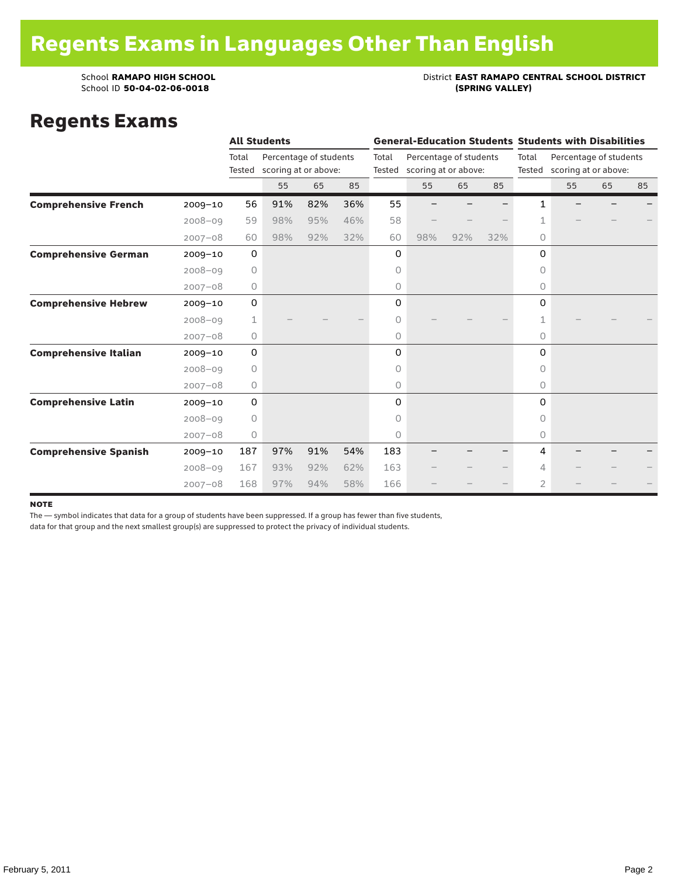### School **RAMAPO HIGH SCHOOL**<br>School ID 50-04-02-06-0018<br>(SPRING VALLEY)

### Regents Exams

|                              |             |             | <b>All Students</b>    |     |     |        | <b>General-Education Students Students with Disabilities</b> |     |     |                             |                        |    |    |  |
|------------------------------|-------------|-------------|------------------------|-----|-----|--------|--------------------------------------------------------------|-----|-----|-----------------------------|------------------------|----|----|--|
|                              |             | Total       | Percentage of students |     |     | Total  | Percentage of students                                       |     |     | Total                       | Percentage of students |    |    |  |
|                              |             | Tested      | scoring at or above:   |     |     | Tested | scoring at or above:                                         |     |     | Tested scoring at or above: |                        |    |    |  |
|                              |             |             | 55                     | 65  | 85  |        | 55                                                           | 65  | 85  |                             | 55                     | 65 | 85 |  |
| <b>Comprehensive French</b>  | $2009 - 10$ | 56          | 91%                    | 82% | 36% | 55     |                                                              |     |     | 1                           |                        |    |    |  |
|                              | $2008 - 09$ | 59          | 98%                    | 95% | 46% | 58     |                                                              |     |     | 1                           |                        |    |    |  |
|                              | $2007 - 08$ | 60          | 98%                    | 92% | 32% | 60     | 98%                                                          | 92% | 32% | $\Omega$                    |                        |    |    |  |
| <b>Comprehensive German</b>  | $2009 - 10$ | $\mathbf 0$ |                        |     |     | 0      |                                                              |     |     | 0                           |                        |    |    |  |
|                              | $2008 - 09$ | $\circ$     |                        |     |     | 0      |                                                              |     |     | 0                           |                        |    |    |  |
|                              | $2007 - 08$ | 0           |                        |     |     | 0      |                                                              |     |     | 0                           |                        |    |    |  |
| <b>Comprehensive Hebrew</b>  | $2009 - 10$ | $\mathsf O$ |                        |     |     | 0      |                                                              |     |     | $\Omega$                    |                        |    |    |  |
|                              | $2008 - 09$ | 1           |                        |     |     | 0      |                                                              |     |     |                             |                        |    |    |  |
|                              | $2007 - 08$ | 0           |                        |     |     | 0      |                                                              |     |     | $\circ$                     |                        |    |    |  |
| <b>Comprehensive Italian</b> | $2009 - 10$ | 0           |                        |     |     | 0      |                                                              |     |     | 0                           |                        |    |    |  |
|                              | $2008 - 09$ | $\circ$     |                        |     |     | 0      |                                                              |     |     | $\Omega$                    |                        |    |    |  |
|                              | $2007 - 08$ | 0           |                        |     |     | 0      |                                                              |     |     | $\circ$                     |                        |    |    |  |
| <b>Comprehensive Latin</b>   | $2009 - 10$ | 0           |                        |     |     | 0      |                                                              |     |     | $\Omega$                    |                        |    |    |  |
|                              | $2008 - 09$ | $\circ$     |                        |     |     | 0      |                                                              |     |     | $\bigcap$                   |                        |    |    |  |
|                              | $2007 - 08$ | 0           |                        |     |     | 0      |                                                              |     |     | $\circ$                     |                        |    |    |  |
| <b>Comprehensive Spanish</b> | $2009 - 10$ | 187         | 97%                    | 91% | 54% | 183    |                                                              |     |     | 4                           |                        |    |    |  |
|                              | $2008 - 09$ | 167         | 93%                    | 92% | 62% | 163    |                                                              |     |     | 4                           |                        |    |    |  |
|                              | $2007 - 08$ | 168         | 97%                    | 94% | 58% | 166    |                                                              |     |     | $\overline{2}$              |                        |    |    |  |

#### note

The — symbol indicates that data for a group of students have been suppressed. If a group has fewer than five students,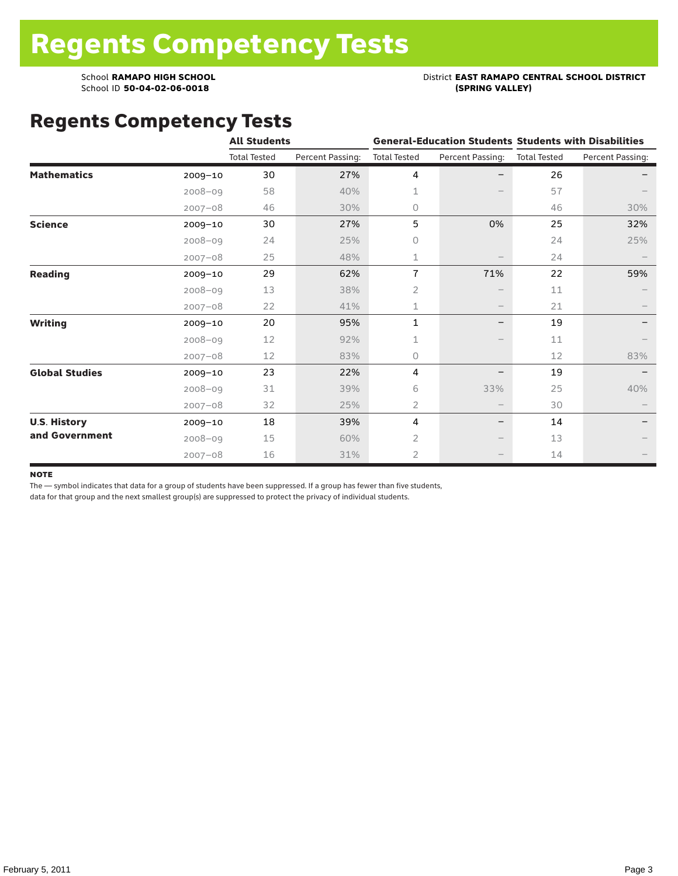# School **RAMAPO HIGH SCHOOL**<br>School ID 50-04-02-06-0018<br>(SPRING VALLEY)

# Regents Competency Tests

|                       |             | <b>All Students</b> |                  |                     |                          | <b>General-Education Students Students with Disabilities</b> |                  |  |
|-----------------------|-------------|---------------------|------------------|---------------------|--------------------------|--------------------------------------------------------------|------------------|--|
|                       |             | <b>Total Tested</b> | Percent Passing: | <b>Total Tested</b> | Percent Passing:         | <b>Total Tested</b>                                          | Percent Passing: |  |
| <b>Mathematics</b>    | $2009 - 10$ | 30                  | 27%              | 4                   |                          | 26                                                           |                  |  |
|                       | $2008 - 09$ | 58                  | 40%              | 1                   |                          | 57                                                           |                  |  |
|                       | $2007 - 08$ | 46                  | 30%              | $\circ$             |                          | 46                                                           | 30%              |  |
| <b>Science</b>        | 2009-10     | 30                  | 27%              | 5                   | 0%                       | 25                                                           | 32%              |  |
|                       | $2008 - 09$ | 24                  | 25%              | $\circ$             |                          | 24                                                           | 25%              |  |
|                       | $2007 - 08$ | 25                  | 48%              | 1                   |                          | 24                                                           |                  |  |
| <b>Reading</b>        | $2009 - 10$ | 29                  | 62%              | $\overline{1}$      | 71%                      | 22                                                           | 59%              |  |
|                       | $2008 - 09$ | 13                  | 38%              | $\overline{2}$      |                          | 11                                                           |                  |  |
|                       | $2007 - 08$ | 22                  | 41%              | 1                   | $\overline{\phantom{m}}$ | 21                                                           |                  |  |
| <b>Writing</b>        | $2009 - 10$ | 20                  | 95%              | $\mathbf{1}$        | $\qquad \qquad -$        | 19                                                           |                  |  |
|                       | $2008 - 09$ | 12                  | 92%              | 1                   |                          | 11                                                           |                  |  |
|                       | $2007 - 08$ | 12                  | 83%              | $\circ$             |                          | 12                                                           | 83%              |  |
| <b>Global Studies</b> | 2009-10     | 23                  | 22%              | 4                   |                          | 19                                                           |                  |  |
|                       | $2008 - 09$ | 31                  | 39%              | 6                   | 33%                      | 25                                                           | 40%              |  |
|                       | $2007 - 08$ | 32                  | 25%              | 2                   | $\overline{\phantom{m}}$ | 30                                                           |                  |  |
| <b>U.S. History</b>   | $2009 - 10$ | 18                  | 39%              | 4                   | $\qquad \qquad -$        | 14                                                           |                  |  |
| and Government        | $2008 - 09$ | 15                  | 60%              | $\overline{2}$      |                          | 13                                                           |                  |  |
|                       | $2007 - 08$ | 16                  | 31%              | $\overline{2}$      |                          | 14                                                           |                  |  |

#### **NOTE**

The — symbol indicates that data for a group of students have been suppressed. If a group has fewer than five students,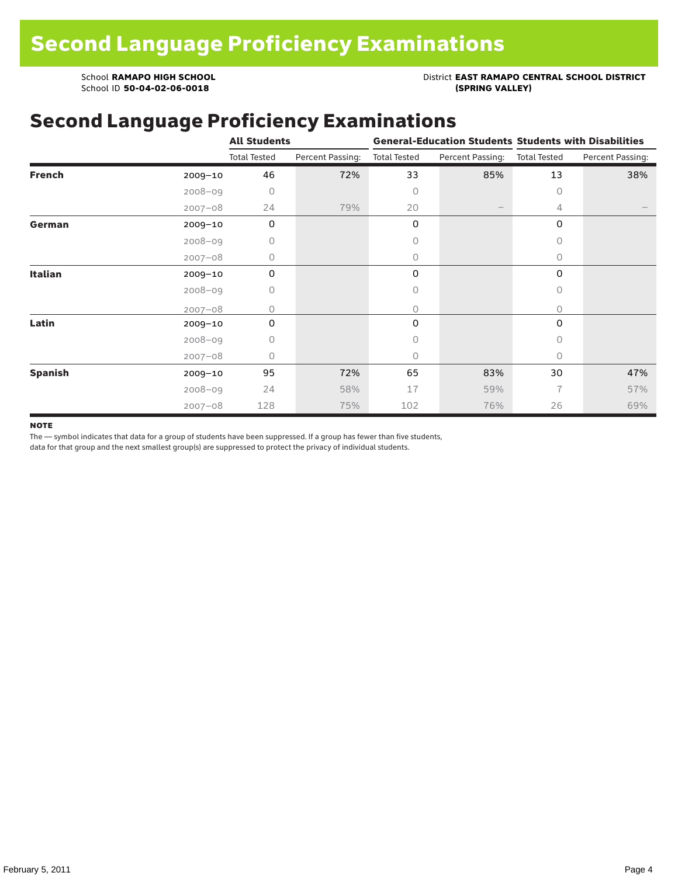School **RAMAPO HIGH SCHOOL**<br>School ID 50-04-02-06-0018<br>(SPRING VALLEY)

School ID 50-04-02-06-0018

# Second Language Proficiency Examinations

|                |             | <b>All Students</b> |                  |                     |                   | <b>General-Education Students Students with Disabilities</b> |                  |  |  |
|----------------|-------------|---------------------|------------------|---------------------|-------------------|--------------------------------------------------------------|------------------|--|--|
|                |             | <b>Total Tested</b> | Percent Passing: | <b>Total Tested</b> | Percent Passing:  | <b>Total Tested</b>                                          | Percent Passing: |  |  |
| <b>French</b>  | $2009 - 10$ | 46                  | 72%              | 33                  | 85%               | 13                                                           | 38%              |  |  |
|                | $2008 - 09$ | $\circ$             |                  | 0                   |                   | $\Omega$                                                     |                  |  |  |
|                | $2007 - 08$ | 24                  | 79%              | 20                  | $\qquad \qquad -$ | 4                                                            |                  |  |  |
| German         | $2009 - 10$ | 0                   |                  | 0                   |                   | 0                                                            |                  |  |  |
|                | $2008 - 09$ | 0                   |                  | 0                   |                   | $\circ$                                                      |                  |  |  |
|                | $2007 - 08$ | 0                   |                  | 0                   |                   | 0                                                            |                  |  |  |
| Italian        | $2009 - 10$ | 0                   |                  | 0                   |                   | 0                                                            |                  |  |  |
|                | $2008 - 09$ | 0                   |                  | 0                   |                   | $\circ$                                                      |                  |  |  |
|                | $2007 - 08$ | O                   |                  | 0                   |                   | 0                                                            |                  |  |  |
| Latin          | 2009-10     | 0                   |                  | 0                   |                   | 0                                                            |                  |  |  |
|                | $2008 - 09$ | 0                   |                  | 0                   |                   | $\Omega$                                                     |                  |  |  |
|                | $2007 - 08$ | 0                   |                  | 0                   |                   | $\circ$                                                      |                  |  |  |
| <b>Spanish</b> | 2009-10     | 95                  | 72%              | 65                  | 83%               | 30                                                           | 47%              |  |  |
|                | $2008 - 09$ | 24                  | 58%              | 17                  | 59%               | $\overline{7}$                                               | 57%              |  |  |
|                | $2007 - 08$ | 128                 | 75%              | 102                 | 76%               | 26                                                           | 69%              |  |  |

#### **NOTE**

The — symbol indicates that data for a group of students have been suppressed. If a group has fewer than five students,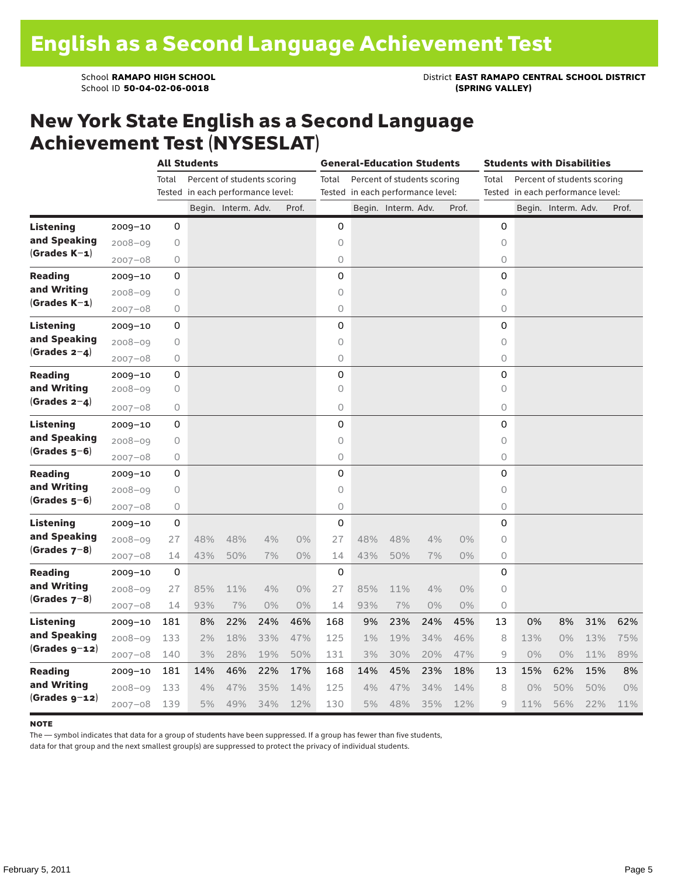School **RAMAPO HIGH SCHOOL**<br>School ID 50-04-02-06-0018<br>(SPRING VALLEY)

### New York State English as a Second Language Achievement Test (NYSESLAT)

|                  |             |         | <b>All Students</b>               |                             |     |       |          | <b>General-Education Students</b> |                                   |     |       | Students with Disabilities |                                   |                             |     |       |
|------------------|-------------|---------|-----------------------------------|-----------------------------|-----|-------|----------|-----------------------------------|-----------------------------------|-----|-------|----------------------------|-----------------------------------|-----------------------------|-----|-------|
|                  |             | Total   |                                   | Percent of students scoring |     |       | Total    |                                   | Percent of students scoring       |     |       | Total                      |                                   | Percent of students scoring |     |       |
|                  |             |         | Tested in each performance level: |                             |     |       |          |                                   | Tested in each performance level: |     |       |                            | Tested in each performance level: |                             |     |       |
|                  |             |         |                                   | Begin. Interm. Adv.         |     | Prof. |          |                                   | Begin. Interm. Adv.               |     | Prof. |                            |                                   | Begin. Interm. Adv.         |     | Prof. |
| <b>Listening</b> | $2009 - 10$ | 0       |                                   |                             |     |       | 0        |                                   |                                   |     |       | 0                          |                                   |                             |     |       |
| and Speaking     | $2008 - 09$ | $\circ$ |                                   |                             |     |       | $\circ$  |                                   |                                   |     |       | $\circ$                    |                                   |                             |     |       |
| $(Grades K-1)$   | $2007 - 08$ | 0       |                                   |                             |     |       | 0        |                                   |                                   |     |       | 0                          |                                   |                             |     |       |
| <b>Reading</b>   | $2009 - 10$ | 0       |                                   |                             |     |       | 0        |                                   |                                   |     |       | 0                          |                                   |                             |     |       |
| and Writing      | $2008 - 09$ | 0       |                                   |                             |     |       | 0        |                                   |                                   |     |       | 0                          |                                   |                             |     |       |
| $(Grades K-1)$   | $2007 - 08$ | 0       |                                   |                             |     |       | 0        |                                   |                                   |     |       | 0                          |                                   |                             |     |       |
| <b>Listening</b> | $2009 - 10$ | 0       |                                   |                             |     |       | 0        |                                   |                                   |     |       | 0                          |                                   |                             |     |       |
| and Speaking     | $2008 - 09$ | 0       |                                   |                             |     |       | $\circ$  |                                   |                                   |     |       | $\circ$                    |                                   |                             |     |       |
| (Grades $2-4$ )  | $2007 - 08$ | 0       |                                   |                             |     |       | 0        |                                   |                                   |     |       | 0                          |                                   |                             |     |       |
| <b>Reading</b>   | $2009 - 10$ | 0       |                                   |                             |     |       | 0        |                                   |                                   |     |       | 0                          |                                   |                             |     |       |
| and Writing      | $2008 - 09$ | 0       |                                   |                             |     |       | $\Omega$ |                                   |                                   |     |       | $\circ$                    |                                   |                             |     |       |
| $(Grades 2-4)$   | $2007 - 08$ | 0       |                                   |                             |     |       | $\circ$  |                                   |                                   |     |       | 0                          |                                   |                             |     |       |
| <b>Listening</b> | $2009 - 10$ | 0       |                                   |                             |     |       | 0        |                                   |                                   |     |       | 0                          |                                   |                             |     |       |
| and Speaking     | $2008 - 09$ | 0       |                                   |                             |     |       | $\circ$  |                                   |                                   |     |       | $\circ$                    |                                   |                             |     |       |
| $(Grades 5-6)$   | $2007 - 08$ | 0       |                                   |                             |     |       | 0        |                                   |                                   |     |       | 0                          |                                   |                             |     |       |
| <b>Reading</b>   | $2009 - 10$ | 0       |                                   |                             |     |       | 0        |                                   |                                   |     |       | 0                          |                                   |                             |     |       |
| and Writing      | $2008 - 09$ | 0       |                                   |                             |     |       | $\circ$  |                                   |                                   |     |       | $\circ$                    |                                   |                             |     |       |
| (Grades 5–6)     | $2007 - 08$ | 0       |                                   |                             |     |       | 0        |                                   |                                   |     |       | 0                          |                                   |                             |     |       |
| <b>Listening</b> | $2009 - 10$ | 0       |                                   |                             |     |       | 0        |                                   |                                   |     |       | 0                          |                                   |                             |     |       |
| and Speaking     | $2008 - 09$ | 27      | 48%                               | 48%                         | 4%  | 0%    | 27       | 48%                               | 48%                               | 4%  | $0\%$ | 0                          |                                   |                             |     |       |
| $(Grades 7-8)$   | $2007 - 08$ | 14      | 43%                               | 50%                         | 7%  | 0%    | 14       | 43%                               | 50%                               | 7%  | 0%    | 0                          |                                   |                             |     |       |
| <b>Reading</b>   | $2009 - 10$ | 0       |                                   |                             |     |       | 0        |                                   |                                   |     |       | 0                          |                                   |                             |     |       |
| and Writing      | $2008 - 09$ | 27      | 85%                               | 11%                         | 4%  | 0%    | 27       | 85%                               | 11%                               | 4%  | 0%    | 0                          |                                   |                             |     |       |
| $(Grades 7-8)$   | $2007 - 08$ | 14      | 93%                               | 7%                          | 0%  | 0%    | 14       | 93%                               | 7%                                | 0%  | 0%    | 0                          |                                   |                             |     |       |
| <b>Listening</b> | $2009 - 10$ | 181     | 8%                                | 22%                         | 24% | 46%   | 168      | 9%                                | 23%                               | 24% | 45%   | 13                         | 0%                                | 8%                          | 31% | 62%   |
| and Speaking     | $2008 - 09$ | 133     | 2%                                | 18%                         | 33% | 47%   | 125      | $1\%$                             | 19%                               | 34% | 46%   | 8                          | 13%                               | $0\%$                       | 13% | 75%   |
| (Grades g-12)    | $2007 - 08$ | 140     | 3%                                | 28%                         | 19% | 50%   | 131      | 3%                                | 30%                               | 20% | 47%   | 9                          | $0\%$                             | 0%                          | 11% | 89%   |
| <b>Reading</b>   | $2009 - 10$ | 181     | 14%                               | 46%                         | 22% | 17%   | 168      | 14%                               | 45%                               | 23% | 18%   | 13                         | 15%                               | 62%                         | 15% | 8%    |
| and Writing      | $2008 - 09$ | 133     | 4%                                | 47%                         | 35% | 14%   | 125      | 4%                                | 47%                               | 34% | 14%   | 8                          | 0%                                | 50%                         | 50% | $0\%$ |
| $(Grades g-12)$  | $2007 - 08$ | 139     | 5%                                | 49%                         | 34% | 12%   | 130      | 5%                                | 48%                               | 35% | 12%   | 9                          | 11%                               | 56%                         | 22% | 11%   |

#### **NOTE**

The — symbol indicates that data for a group of students have been suppressed. If a group has fewer than five students,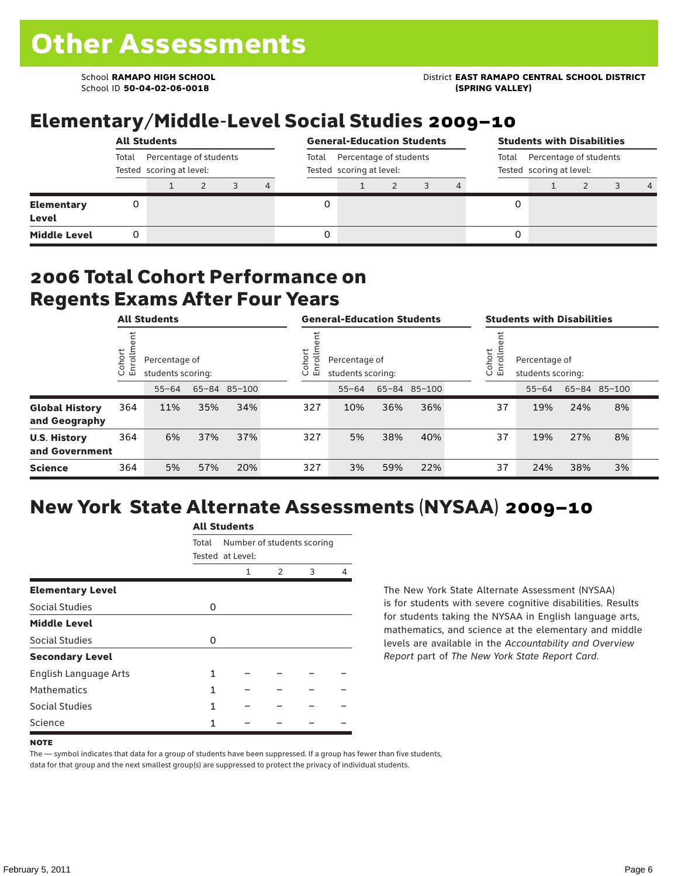School ID **50-04-02-06-0018 (SPRING VALLEY)**

### School **RAMAPO HIGH SCHOOL** District **EAST RAMAPO CENTRAL SCHOOL DISTRICT**

# Elementary/Middle-Level Social Studies 2009–10

|                                   |       | <b>All Students</b>                                |  |  |       |                                                    | <b>General-Education Students</b> |  |  |                                                             |  | <b>Students with Disabilities</b> |  |  |                |  |  |
|-----------------------------------|-------|----------------------------------------------------|--|--|-------|----------------------------------------------------|-----------------------------------|--|--|-------------------------------------------------------------|--|-----------------------------------|--|--|----------------|--|--|
|                                   | Total | Percentage of students<br>Tested scoring at level: |  |  | Total | Percentage of students<br>Tested scoring at level: |                                   |  |  | Percentage of students<br>Total<br>Tested scoring at level: |  |                                   |  |  |                |  |  |
|                                   |       |                                                    |  |  | 4     |                                                    |                                   |  |  |                                                             |  |                                   |  |  | $\overline{4}$ |  |  |
| <b>Elementary</b><br><b>Level</b> |       |                                                    |  |  |       |                                                    |                                   |  |  |                                                             |  |                                   |  |  |                |  |  |
| <b>Middle Level</b>               |       |                                                    |  |  |       |                                                    |                                   |  |  |                                                             |  |                                   |  |  |                |  |  |

#### 2006 Total Cohort Performance on Regents Exams After Four Years

|                                        | <b>All Students</b> |           |                                                    |     | <b>General-Education Students</b> |     |                                                              |     | <b>Students with Disabilities</b> |  |    |                                                         |     |              |  |  |
|----------------------------------------|---------------------|-----------|----------------------------------------------------|-----|-----------------------------------|-----|--------------------------------------------------------------|-----|-----------------------------------|--|----|---------------------------------------------------------|-----|--------------|--|--|
|                                        | Cohort<br>Enrollm   |           | Percentage of<br>students scoring:<br>65-84 85-100 |     |                                   |     | Cohort<br>Ξ<br>Percentage of<br>ò,<br>모<br>students scoring: |     |                                   |  |    | Cohort<br>Percentage of<br>o,<br>문<br>students scoring: |     |              |  |  |
|                                        |                     | $55 - 64$ |                                                    |     |                                   |     | $55 - 64$                                                    |     | 65-84 85-100                      |  |    | $55 - 64$                                               |     | 65-84 85-100 |  |  |
| <b>Global History</b><br>and Geography | 364                 | 11%       | 35%                                                | 34% |                                   | 327 | 10%                                                          | 36% | 36%                               |  | 37 | 19%                                                     | 24% | 8%           |  |  |
| <b>U.S. History</b><br>and Government  | 364                 | 6%        | 37%                                                | 37% |                                   | 327 | 5%                                                           | 38% | 40%                               |  | 37 | 19%                                                     | 27% | 8%           |  |  |
| <b>Science</b>                         | 364                 | 5%        | 57%                                                | 20% |                                   | 327 | 3%                                                           | 59% | 22%                               |  | 37 | 24%                                                     | 38% | 3%           |  |  |

# New York State Alternate Assessments (NYSAA) 2009–10

|                         | <b>All Students</b> |                                                |               |   |   |  |  |  |  |  |  |
|-------------------------|---------------------|------------------------------------------------|---------------|---|---|--|--|--|--|--|--|
|                         | Total               | Number of students scoring<br>Tested at Level: |               |   |   |  |  |  |  |  |  |
|                         |                     | 1                                              | $\mathcal{P}$ | 3 | Δ |  |  |  |  |  |  |
| <b>Elementary Level</b> |                     |                                                |               |   |   |  |  |  |  |  |  |
| Social Studies          | 0                   |                                                |               |   |   |  |  |  |  |  |  |
| <b>Middle Level</b>     |                     |                                                |               |   |   |  |  |  |  |  |  |
| Social Studies          | 0                   |                                                |               |   |   |  |  |  |  |  |  |
| <b>Secondary Level</b>  |                     |                                                |               |   |   |  |  |  |  |  |  |
| English Language Arts   | 1                   |                                                |               |   |   |  |  |  |  |  |  |
| <b>Mathematics</b>      | 1                   |                                                |               |   |   |  |  |  |  |  |  |
| Social Studies          | 1                   |                                                |               |   |   |  |  |  |  |  |  |
| Science                 |                     |                                                |               |   |   |  |  |  |  |  |  |

The New York State Alternate Assessment (NYSAA) is for students with severe cognitive disabilities. Results for students taking the NYSAA in English language arts, mathematics, and science at the elementary and middle levels are available in the *Accountability and Overview Report* part of *The New York State Report Card*.

The — symbol indicates that data for a group of students have been suppressed. If a group has fewer than five students, data for that group and the next smallest group(s) are suppressed to protect the privacy of individual students.

**NOTE**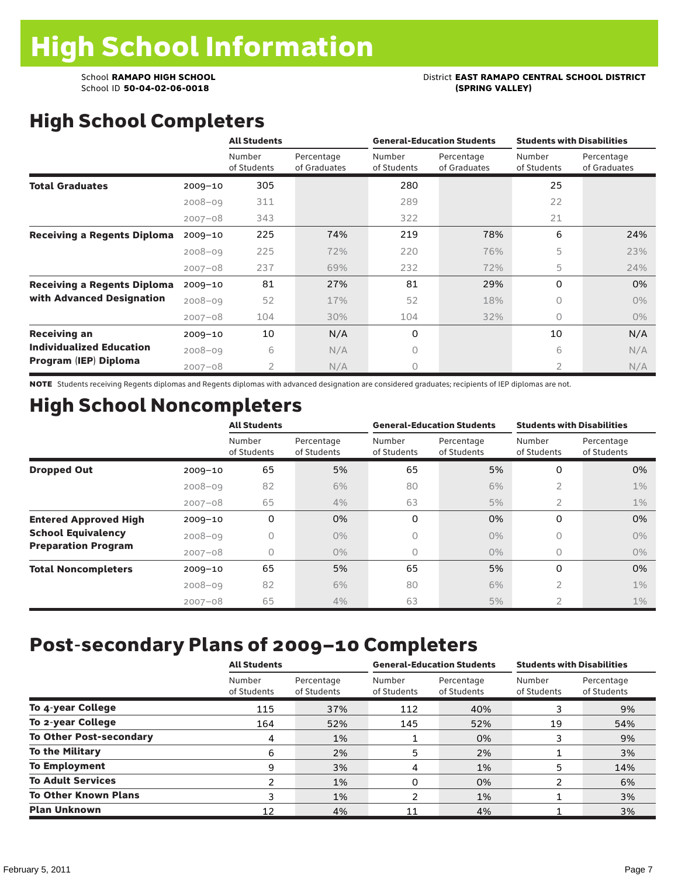# School **RAMAPO HIGH SCHOOL**<br>School ID 50-04-02-06-0018<br>(SPRING VALLEY)

# High School Completers

|                                    |             | <b>All Students</b>   |                            |                       | <b>General-Education Students</b> | <b>Students with Disabilities</b> |                            |  |
|------------------------------------|-------------|-----------------------|----------------------------|-----------------------|-----------------------------------|-----------------------------------|----------------------------|--|
|                                    |             | Number<br>of Students | Percentage<br>of Graduates | Number<br>of Students | Percentage<br>of Graduates        | Number<br>of Students             | Percentage<br>of Graduates |  |
| <b>Total Graduates</b>             | $2009 - 10$ | 305                   |                            | 280                   |                                   | 25                                |                            |  |
|                                    | $2008 - 09$ | 311                   |                            | 289                   |                                   | 22                                |                            |  |
|                                    | $2007 - 08$ | 343                   |                            | 322                   |                                   | 21                                |                            |  |
| <b>Receiving a Regents Diploma</b> | $2009 - 10$ | 225                   | 74%                        | 219                   | 78%                               | 6                                 | 24%                        |  |
|                                    | $2008 - 09$ | 225                   | 72%                        | 220                   | 76%                               | 5                                 | 23%                        |  |
|                                    | $2007 - 08$ | 237                   | 69%                        | 232                   | 72%                               | 5                                 | 24%                        |  |
| <b>Receiving a Regents Diploma</b> | $2009 - 10$ | 81                    | 27%                        | 81                    | 29%                               | 0                                 | 0%                         |  |
| with Advanced Designation          | $2008 - 09$ | 52                    | 17%                        | 52                    | 18%                               | 0                                 | $0\%$                      |  |
|                                    | $2007 - 08$ | 104                   | 30%                        | 104                   | 32%                               | 0                                 | $0\%$                      |  |
| <b>Receiving an</b>                | $2009 - 10$ | 10                    | N/A                        | 0                     |                                   | 10                                | N/A                        |  |
| <b>Individualized Education</b>    | $2008 - 09$ | 6                     | N/A                        | 0                     |                                   | 6                                 | N/A                        |  |
| Program (IEP) Diploma              | $2007 - 08$ | 2                     | N/A                        | 0                     |                                   | 2                                 | N/A                        |  |

NOTE Students receiving Regents diplomas and Regents diplomas with advanced designation are considered graduates; recipients of IEP diplomas are not.

# High School Noncompleters

|                              |             | <b>All Students</b>   |                           | <b>General-Education Students</b> |                           | <b>Students with Disabilities</b> |                           |
|------------------------------|-------------|-----------------------|---------------------------|-----------------------------------|---------------------------|-----------------------------------|---------------------------|
|                              |             | Number<br>of Students | Percentage<br>of Students | Number<br>of Students             | Percentage<br>of Students | Number<br>of Students             | Percentage<br>of Students |
| <b>Dropped Out</b>           | $2009 - 10$ | 65                    | 5%                        | 65                                | 5%                        | 0                                 | 0%                        |
|                              | $2008 - 09$ | 82                    | 6%                        | 80                                | 6%                        | $\overline{2}$                    | $1\%$                     |
|                              | $2007 - 08$ | 65                    | 4%                        | 63                                | 5%                        | 2                                 | $1\%$                     |
| <b>Entered Approved High</b> | $2009 - 10$ | 0                     | 0%                        | 0                                 | 0%                        | 0                                 | 0%                        |
| <b>School Equivalency</b>    | $2008 - 09$ | 0                     | $0\%$                     | 0                                 | $0\%$                     | 0                                 | 0%                        |
| <b>Preparation Program</b>   | $2007 - 08$ | 0                     | $0\%$                     | 0                                 | $0\%$                     | 0                                 | $0\%$                     |
| <b>Total Noncompleters</b>   | $2009 - 10$ | 65                    | 5%                        | 65                                | 5%                        | 0                                 | 0%                        |
|                              | $2008 - 09$ | 82                    | 6%                        | 80                                | 6%                        | 2                                 | $1\%$                     |
|                              | $2007 - 08$ | 65                    | 4%                        | 63                                | 5%                        | $\overline{2}$                    | $1\%$                     |

# Post-secondary Plans of 2009–10 Completers

|                                | <b>All Students</b>   |                           |                       | <b>General-Education Students</b> | <b>Students with Disabilities</b> |                           |  |  |
|--------------------------------|-----------------------|---------------------------|-----------------------|-----------------------------------|-----------------------------------|---------------------------|--|--|
|                                | Number<br>of Students | Percentage<br>of Students | Number<br>of Students | Percentage<br>of Students         | Number<br>of Students             | Percentage<br>of Students |  |  |
| To 4-year College              | 115                   | 37%                       | 112                   | 40%                               |                                   | 9%                        |  |  |
| To 2-year College              | 164                   | 52%                       | 145                   | 52%                               | 19                                | 54%                       |  |  |
| <b>To Other Post-secondary</b> | 4                     | 1%                        |                       | 0%                                |                                   | 9%                        |  |  |
| <b>To the Military</b>         | 6                     | 2%                        | 5                     | 2%                                |                                   | 3%                        |  |  |
| <b>To Employment</b>           | 9                     | 3%                        | 4                     | 1%                                | 5                                 | 14%                       |  |  |
| <b>To Adult Services</b>       | າ                     | 1%                        | 0                     | 0%                                | 2                                 | 6%                        |  |  |
| <b>To Other Known Plans</b>    | 3                     | 1%                        | າ                     | 1%                                |                                   | 3%                        |  |  |
| <b>Plan Unknown</b>            | 12                    | 4%                        | 11                    | 4%                                |                                   | 3%                        |  |  |